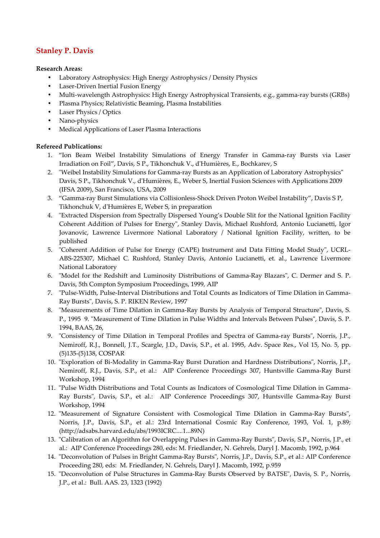## **Stanley P. Davis**

## **Research Areas:**

- Laboratory Astrophysics: High Energy Astrophysics / Density Physics
- Laser-Driven Inertial Fusion Energy
- Multi-wavelength Astrophysics: High Energy Astrophysical Transients, e.g., gamma-ray bursts (GRBs)
- Plasma Physics; Relativistic Beaming, Plasma Instabilities
- Laser Physics / Optics
- Nano-physics
- Medical Applications of Laser Plasma Interactions

## **Refereed Publications:**

- 1. "Ion Beam Weibel Instability Simulations of Energy Transfer in Gamma-ray Bursts via Laser Irradiation on Foil", Davis, S P., Tikhonchuk V., d'Humières, E., Bochkarev, S
- 2. "Weibel Instability Simulations for Gamma-ray Bursts as an Application of Laboratory Astrophysics" Davis, S P., Tikhonchuk V., d'Humières, E., Weber S, Inertial Fusion Sciences with Applications 2009 (IFSA 2009), San Francisco, USA, 2009
- 3. "Gamma-ray Burst Simulations via Collisionless-Shock Driven Proton Weibel Instability", Davis S P, Tikhonchuk V, d'Humières E, Weber S, in preparation
- 4. "Extracted Dispersion from Spectrally Dispersed Young's Double Slit for the National Ignition Facility Coherent Addition of Pulses for Energy", Stanley Davis, Michael Rushford, Antonio Lucianetti, Igor Jovanovic, Lawrence Livermore National Laboratory / National Ignition Facility, written, to be published
- 5. "Coherent Addition of Pulse for Energy (CAPE) Instrument and Data Fitting Model Study", UCRL-ABS-225307, Michael C. Rushford, Stanley Davis, Antonio Lucianetti, et. al., Lawrence Livermore National Laboratory
- 6. "Model for the Redshift and Luminosity Distributions of Gamma-Ray Blazars", C. Dermer and S. P. Davis, 5th Compton Symposium Proceedings, 1999, AIP
- 7. "Pulse-Width, Pulse-Interval Distributions and Total Counts as Indicators of Time Dilation in Gamma-Ray Bursts", Davis, S. P. RIKEN Review, 1997
- 8. "Measurements of Time Dilation in Gamma-Ray Bursts by Analysis of Temporal Structure", Davis, S. P., 1995 9. "Measurement of Time Dilation in Pulse Widths and Intervals Between Pulses", Davis, S. P. 1994, BAAS, 26,
- 9. "Consistency of Time Dilation in Temporal Profiles and Spectra of Gamma-ray Bursts", Norris, J.P., Nemiroff, R.J., Bonnell, J.T., Scargle, J.D., Davis, S.P., et al. 1995, Adv. Space Res., Vol 15, No. 5, pp. (5)135-(5)138, COSPAR
- 10. "Exploration of Bi-Modality in Gamma-Ray Burst Duration and Hardness Distributions", Norris, J.P., Nemiroff, R.J., Davis, S.P., et al.: AIP Conference Proceedings 307, Huntsville Gamma-Ray Burst Workshop, 1994
- 11. "Pulse Width Distributions and Total Counts as Indicators of Cosmological Time Dilation in Gamma-Ray Bursts", Davis, S.P., et al.: AIP Conference Proceedings 307, Huntsville Gamma-Ray Burst Workshop, 1994
- 12. "Measurement of Signature Consistent with Cosmological Time Dilation in Gamma-Ray Bursts", Norris, J.P., Davis, S.P., et al.: 23rd International Cosmic Ray Conference, 1993, Vol. 1, p.89; (http://adsabs.harvard.edu/abs/1993ICRC....1...89N)
- 13. "Calibration of an Algorithm for Overlapping Pulses in Gamma-Ray Bursts", Davis, S.P., Norris, J.P., et al.: AIP Conference Proceedings 280, eds: M. Friedlander, N. Gehrels, Daryl J. Macomb, 1992, p.964
- 14. "Deconvolution of Pulses in Bright Gamma-Ray Bursts", Norris, J.P., Davis, S.P., et al.: AIP Conference Proceeding 280, eds: M. Friedlander, N. Gehrels, Daryl J. Macomb, 1992, p.959
- 15. "Deconvolution of Pulse Structures in Gamma-Ray Bursts Observed by BATSE", Davis, S. P., Norris, J.P., et al.: Bull. AAS. 23, 1323 (1992)